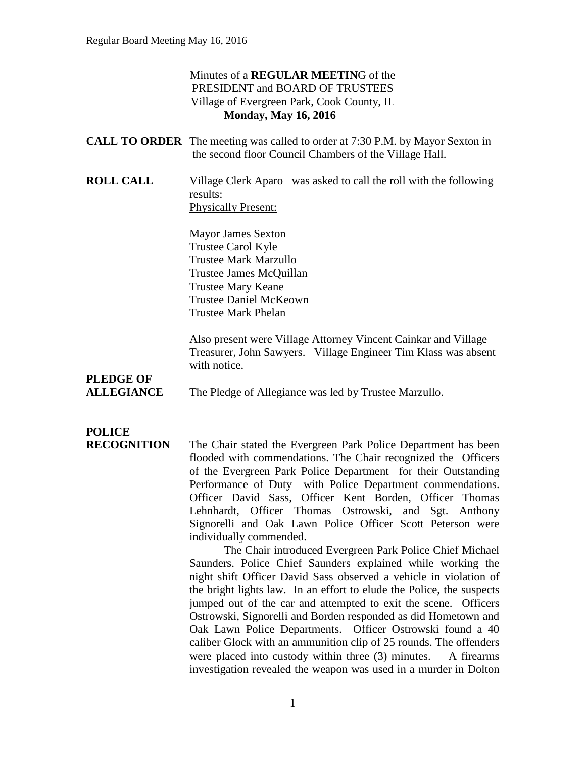#### Minutes of a **REGULAR MEETIN**G of the PRESIDENT and BOARD OF TRUSTEES Village of Evergreen Park, Cook County, IL **Monday, May 16, 2016**

|                                       | <b>CALL TO ORDER</b> The meeting was called to order at 7:30 P.M. by Mayor Sexton in<br>the second floor Council Chambers of the Village Hall.                                                                                                                                                                                                                                                                                                                                                                                                                                         |
|---------------------------------------|----------------------------------------------------------------------------------------------------------------------------------------------------------------------------------------------------------------------------------------------------------------------------------------------------------------------------------------------------------------------------------------------------------------------------------------------------------------------------------------------------------------------------------------------------------------------------------------|
| <b>ROLL CALL</b>                      | Village Clerk Aparo was asked to call the roll with the following<br>results:<br><b>Physically Present:</b>                                                                                                                                                                                                                                                                                                                                                                                                                                                                            |
|                                       | <b>Mayor James Sexton</b><br>Trustee Carol Kyle<br><b>Trustee Mark Marzullo</b><br>Trustee James McQuillan<br><b>Trustee Mary Keane</b><br><b>Trustee Daniel McKeown</b><br><b>Trustee Mark Phelan</b>                                                                                                                                                                                                                                                                                                                                                                                 |
|                                       | Also present were Village Attorney Vincent Cainkar and Village<br>Treasurer, John Sawyers. Village Engineer Tim Klass was absent<br>with notice.                                                                                                                                                                                                                                                                                                                                                                                                                                       |
| <b>PLEDGE OF</b><br><b>ALLEGIANCE</b> | The Pledge of Allegiance was led by Trustee Marzullo.                                                                                                                                                                                                                                                                                                                                                                                                                                                                                                                                  |
| <b>POLICE</b><br><b>RECOGNITION</b>   | The Chair stated the Evergreen Park Police Department has been<br>flooded with commendations. The Chair recognized the Officers<br>of the Evergreen Park Police Department for their Outstanding<br>$\mathbf{D}_{\text{eff}}$ and $\mathbf{D}_{\text{eff}}$ and $\mathbf{D}_{\text{eff}}$ and $\mathbf{D}_{\text{eff}}$ and $\mathbf{D}_{\text{eff}}$ and $\mathbf{D}_{\text{eff}}$ and $\mathbf{D}_{\text{eff}}$ and $\mathbf{D}_{\text{eff}}$ and $\mathbf{D}_{\text{eff}}$ and $\mathbf{D}_{\text{eff}}$ and $\mathbf{D}_{\text{eff}}$ and $\mathbf{D}_{\text{eff}}$ and $\mathbf{$ |

flooded with commendations. The Chair recognized the Officers of the Evergreen Park Police Department for their Outstanding Performance of Duty with Police Department commendations. Officer David Sass, Officer Kent Borden, Officer Thomas Lehnhardt, Officer Thomas Ostrowski, and Sgt. Anthony Signorelli and Oak Lawn Police Officer Scott Peterson were individually commended.

The Chair introduced Evergreen Park Police Chief Michael Saunders. Police Chief Saunders explained while working the night shift Officer David Sass observed a vehicle in violation of the bright lights law. In an effort to elude the Police, the suspects jumped out of the car and attempted to exit the scene. Officers Ostrowski, Signorelli and Borden responded as did Hometown and Oak Lawn Police Departments. Officer Ostrowski found a 40 caliber Glock with an ammunition clip of 25 rounds. The offenders were placed into custody within three (3) minutes. A firearms investigation revealed the weapon was used in a murder in Dolton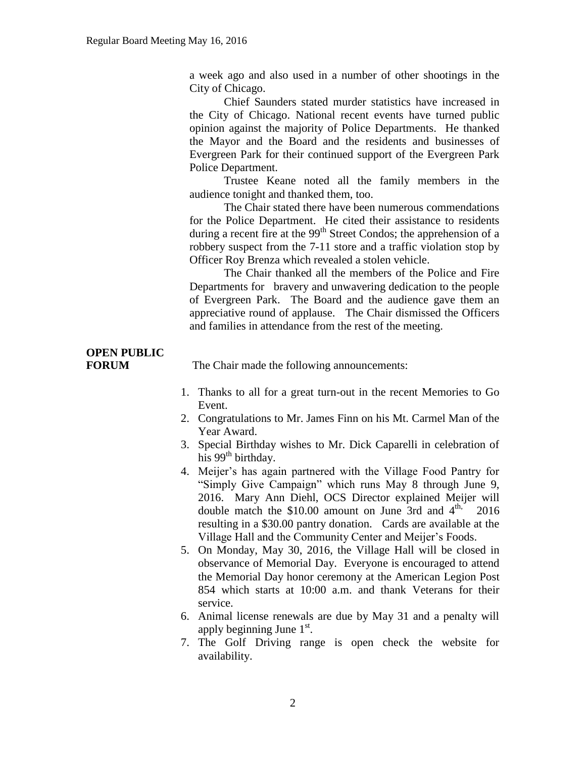a week ago and also used in a number of other shootings in the City of Chicago.

Chief Saunders stated murder statistics have increased in the City of Chicago. National recent events have turned public opinion against the majority of Police Departments. He thanked the Mayor and the Board and the residents and businesses of Evergreen Park for their continued support of the Evergreen Park Police Department.

Trustee Keane noted all the family members in the audience tonight and thanked them, too.

The Chair stated there have been numerous commendations for the Police Department. He cited their assistance to residents during a recent fire at the  $99<sup>th</sup>$  Street Condos; the apprehension of a robbery suspect from the 7-11 store and a traffic violation stop by Officer Roy Brenza which revealed a stolen vehicle.

The Chair thanked all the members of the Police and Fire Departments for bravery and unwavering dedication to the people of Evergreen Park. The Board and the audience gave them an appreciative round of applause. The Chair dismissed the Officers and families in attendance from the rest of the meeting.

# **OPEN PUBLIC**

**FORUM** The Chair made the following announcements:

- 1. Thanks to all for a great turn-out in the recent Memories to Go Event.
- 2. Congratulations to Mr. James Finn on his Mt. Carmel Man of the Year Award.
- 3. Special Birthday wishes to Mr. Dick Caparelli in celebration of his  $99<sup>th</sup>$  birthday.
- 4. Meijer's has again partnered with the Village Food Pantry for "Simply Give Campaign" which runs May 8 through June 9, 2016. Mary Ann Diehl, OCS Director explained Meijer will double match the \$10.00 amount on June 3rd and  $4<sup>th</sup>$ , 2016 resulting in a \$30.00 pantry donation. Cards are available at the Village Hall and the Community Center and Meijer's Foods.
- 5. On Monday, May 30, 2016, the Village Hall will be closed in observance of Memorial Day. Everyone is encouraged to attend the Memorial Day honor ceremony at the American Legion Post 854 which starts at 10:00 a.m. and thank Veterans for their service.
- 6. Animal license renewals are due by May 31 and a penalty will apply beginning June  $1<sup>st</sup>$ .
- 7. The Golf Driving range is open check the website for availability.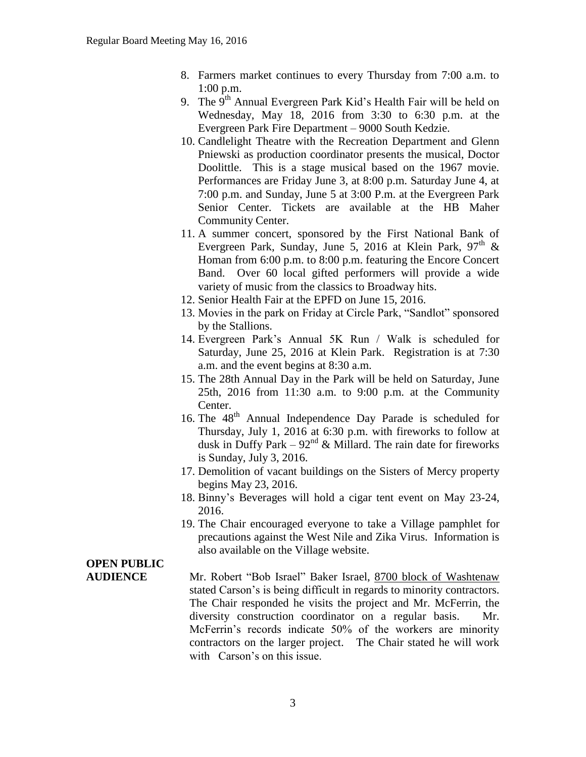- 8. Farmers market continues to every Thursday from 7:00 a.m. to 1:00 p.m.
- 9. The  $9<sup>th</sup>$  Annual Evergreen Park Kid's Health Fair will be held on Wednesday, May 18, 2016 from 3:30 to 6:30 p.m. at the Evergreen Park Fire Department – 9000 South Kedzie.
- 10. Candlelight Theatre with the Recreation Department and Glenn Pniewski as production coordinator presents the musical, Doctor Doolittle. This is a stage musical based on the 1967 movie. Performances are Friday June 3, at 8:00 p.m. Saturday June 4, at 7:00 p.m. and Sunday, June 5 at 3:00 P.m. at the Evergreen Park Senior Center. Tickets are available at the HB Maher Community Center.
- 11. A summer concert, sponsored by the First National Bank of Evergreen Park, Sunday, June 5, 2016 at Klein Park,  $97<sup>th</sup>$  & Homan from 6:00 p.m. to 8:00 p.m. featuring the Encore Concert Band. Over 60 local gifted performers will provide a wide variety of music from the classics to Broadway hits.
- 12. Senior Health Fair at the EPFD on June 15, 2016.
- 13. Movies in the park on Friday at Circle Park, "Sandlot" sponsored by the Stallions.
- 14. Evergreen Park's Annual 5K Run / Walk is scheduled for Saturday, June 25, 2016 at Klein Park. Registration is at 7:30 a.m. and the event begins at 8:30 a.m.
- 15. The 28th Annual Day in the Park will be held on Saturday, June 25th, 2016 from 11:30 a.m. to 9:00 p.m. at the Community Center.
- 16. The 48<sup>th</sup> Annual Independence Day Parade is scheduled for Thursday, July 1, 2016 at 6:30 p.m. with fireworks to follow at dusk in Duffy Park –  $92<sup>nd</sup>$  & Millard. The rain date for fireworks is Sunday, July 3, 2016.
- 17. Demolition of vacant buildings on the Sisters of Mercy property begins May 23, 2016.
- 18. Binny's Beverages will hold a cigar tent event on May 23-24, 2016.
- 19. The Chair encouraged everyone to take a Village pamphlet for precautions against the West Nile and Zika Virus. Information is also available on the Village website.

## **OPEN PUBLIC**

**AUDIENCE** Mr. Robert "Bob Israel" Baker Israel, 8700 block of Washtenaw stated Carson's is being difficult in regards to minority contractors. The Chair responded he visits the project and Mr. McFerrin, the diversity construction coordinator on a regular basis. Mr. McFerrin's records indicate 50% of the workers are minority contractors on the larger project. The Chair stated he will work with Carson's on this issue.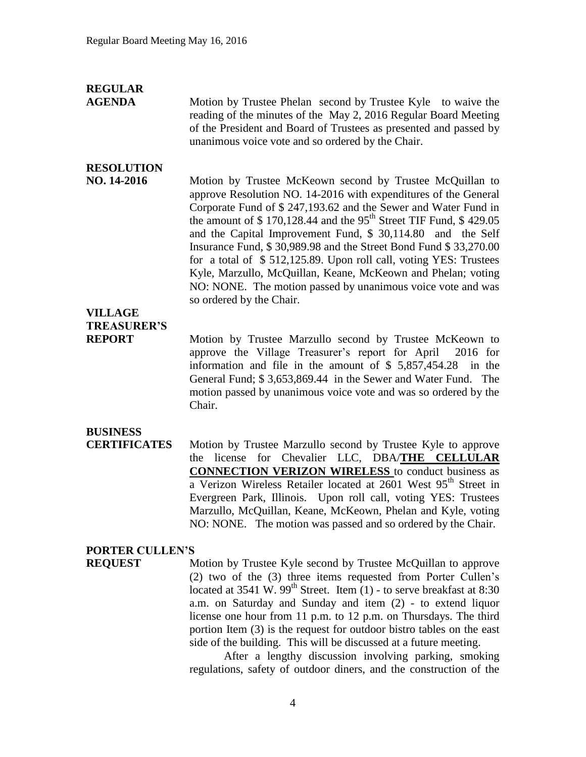## **REGULAR**

**AGENDA** Motion by Trustee Phelan second by Trustee Kyle to waive the reading of the minutes of the May 2, 2016 Regular Board Meeting of the President and Board of Trustees as presented and passed by unanimous voice vote and so ordered by the Chair.

## **RESOLUTION**

**NO. 14-2016** Motion by Trustee McKeown second by Trustee McQuillan to approve Resolution NO. 14-2016 with expenditures of the General Corporate Fund of \$ 247,193.62 and the Sewer and Water Fund in the amount of  $$ 170,128.44$  and the 95<sup>th</sup> Street TIF Fund,  $$ 429.05$ and the Capital Improvement Fund, \$ 30,114.80 and the Self Insurance Fund, \$ 30,989.98 and the Street Bond Fund \$ 33,270.00 for a total of \$ 512,125.89. Upon roll call, voting YES: Trustees Kyle, Marzullo, McQuillan, Keane, McKeown and Phelan; voting NO: NONE. The motion passed by unanimous voice vote and was so ordered by the Chair.

## **VILLAGE TREASURER'S**

**REPORT** Motion by Trustee Marzullo second by Trustee McKeown to approve the Village Treasurer's report for April 2016 for information and file in the amount of \$ 5,857,454.28 in the General Fund; \$ 3,653,869.44 in the Sewer and Water Fund. The motion passed by unanimous voice vote and was so ordered by the Chair.

#### **BUSINESS**

**CERTIFICATES** Motion by Trustee Marzullo second by Trustee Kyle to approve the license for Chevalier LLC, DBA/**THE CELLULAR CONNECTION VERIZON WIRELESS** to conduct business as a Verizon Wireless Retailer located at 2601 West 95<sup>th</sup> Street in Evergreen Park, Illinois. Upon roll call, voting YES: Trustees Marzullo, McQuillan, Keane, McKeown, Phelan and Kyle, voting NO: NONE. The motion was passed and so ordered by the Chair.

#### **PORTER CULLEN'S**

**REQUEST** Motion by Trustee Kyle second by Trustee McQuillan to approve (2) two of the (3) three items requested from Porter Cullen's located at  $3541$  W.  $99<sup>th</sup>$  Street. Item (1) - to serve breakfast at  $8:30$ a.m. on Saturday and Sunday and item (2) - to extend liquor license one hour from 11 p.m. to 12 p.m. on Thursdays. The third portion Item (3) is the request for outdoor bistro tables on the east side of the building. This will be discussed at a future meeting.

After a lengthy discussion involving parking, smoking regulations, safety of outdoor diners, and the construction of the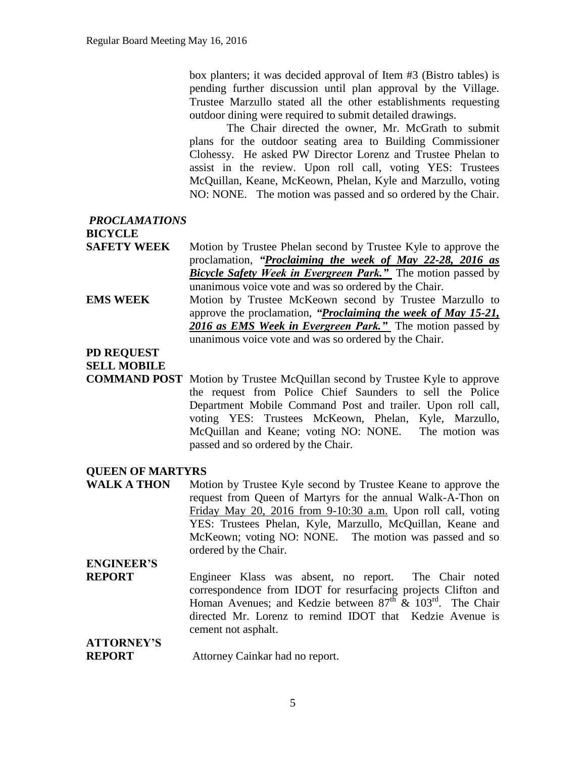box planters; it was decided approval of Item #3 (Bistro tables) is pending further discussion until plan approval by the Village. Trustee Marzullo stated all the other establishments requesting outdoor dining were required to submit detailed drawings.

The Chair directed the owner, Mr. McGrath to submit plans for the outdoor seating area to Building Commissioner Clohessy. He asked PW Director Lorenz and Trustee Phelan to assist in the review. Upon roll call, voting YES: Trustees McQuillan, Keane, McKeown, Phelan, Kyle and Marzullo, voting NO: NONE. The motion was passed and so ordered by the Chair.

#### *PROCLAMATIONS* **BICYCLE**

- **SAFETY WEEK** Motion by Trustee Phelan second by Trustee Kyle to approve the proclamation, *"Proclaiming the week of May 22-28, 2016 as Bicycle Safety Week in Evergreen Park."* The motion passed by unanimous voice vote and was so ordered by the Chair.
- **EMS WEEK** Motion by Trustee McKeown second by Trustee Marzullo to approve the proclamation, *"Proclaiming the week of May 15-21, 2016 as EMS Week in Evergreen Park."* The motion passed by unanimous voice vote and was so ordered by the Chair.

#### **PD REQUEST**

**SELL MOBILE**

**COMMAND POST** Motion by Trustee McQuillan second by Trustee Kyle to approve the request from Police Chief Saunders to sell the Police Department Mobile Command Post and trailer. Upon roll call, voting YES: Trustees McKeown, Phelan, Kyle, Marzullo, McQuillan and Keane; voting NO: NONE. The motion was passed and so ordered by the Chair.

#### **QUEEN OF MARTYRS**

WALK A THON Motion by Trustee Kyle second by Trustee Keane to approve the request from Queen of Martyrs for the annual Walk-A-Thon on Friday May 20, 2016 from 9-10:30 a.m. Upon roll call, voting YES: Trustees Phelan, Kyle, Marzullo, McQuillan, Keane and McKeown; voting NO: NONE. The motion was passed and so ordered by the Chair.

## **ENGINEER'S**

**REPORT** Engineer Klass was absent, no report. The Chair noted correspondence from IDOT for resurfacing projects Clifton and Homan Avenues; and Kedzie between  $87<sup>th</sup>$  &  $103<sup>rd</sup>$ . The Chair directed Mr. Lorenz to remind IDOT that Kedzie Avenue is cement not asphalt.

#### **ATTORNEY'S REPORT** Attorney Cainkar had no report.